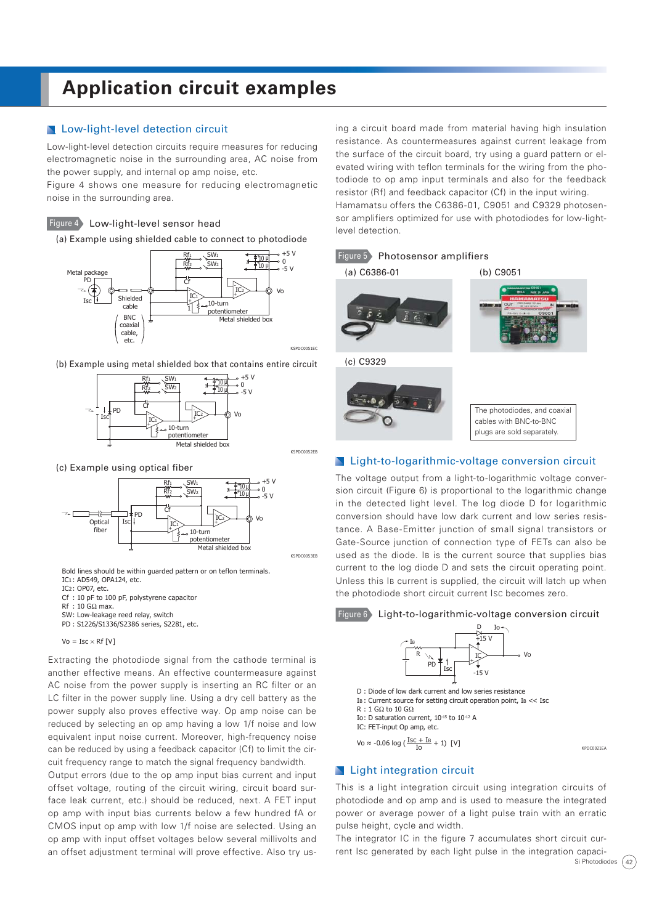# **Application circuit examples**

# **Low-light-level detection circuit**

Low-light-level detection circuits require measures for reducing electromagnetic noise in the surrounding area, AC noise from the power supply, and internal op amp noise, etc.

Figure 4 shows one measure for reducing electromagnetic noise in the surrounding area.

Figure 4 Low-light-level sensor head

(a) Example using shielded cable to connect to photodiode



(b) Example using metal shielded box that contains entire circuit



(c) Example using optical fiber



Bold lines should be within guarded pattern or on teflon terminals.

IC1 : AD549, OPA124, etc. IC2 : OP07, etc.

- Cf : 10 pF to 100 pF, polystyrene capacitor
- Rf :  $10$  G $\Omega$  max.
- SW: Low-leakage reed relay, switch
- PD : S1226/S1336/S2386 series, S2281, etc.

 $Vo = Isc \times Rf$  [V]

Extracting the photodiode signal from the cathode terminal is another effective means. An effective countermeasure against AC noise from the power supply is inserting an RC filter or an LC filter in the power supply line. Using a dry cell battery as the power supply also proves effective way. Op amp noise can be reduced by selecting an op amp having a low 1/f noise and low equivalent input noise current. Moreover, high-frequency noise can be reduced by using a feedback capacitor (Cf) to limit the circuit frequency range to match the signal frequency bandwidth.

Output errors (due to the op amp input bias current and input offset voltage, routing of the circuit wiring, circuit board surface leak current, etc.) should be reduced, next. A FET input op amp with input bias currents below a few hundred fA or CMOS input op amp with low 1/f noise are selected. Using an op amp with input offset voltages below several millivolts and an offset adjustment terminal will prove effective. Also try using a circuit board made from material having high insulation resistance. As countermeasures against current leakage from the surface of the circuit board, try using a guard pattern or elevated wiring with teflon terminals for the wiring from the photodiode to op amp input terminals and also for the feedback resistor (Rf) and feedback capacitor (Cf) in the input wiring. Hamamatsu offers the C6386-01, C9051 and C9329 photosensor amplifiers optimized for use with photodiodes for low-lightlevel detection.





### **Light-to-logarithmic-voltage conversion circuit**

The voltage output from a light-to-logarithmic voltage conversion circuit (Figure 6) is proportional to the logarithmic change in the detected light level. The log diode D for logarithmic conversion should have low dark current and low series resistance. A Base-Emitter junction of small signal transistors or Gate-Source junction of connection type of FETs can also be used as the diode. IB is the current source that supplies bias current to the log diode D and sets the circuit operating point. Unless this IB current is supplied, the circuit will latch up when the photodiode short circuit current ISC becomes zero.





## **N** Light integration circuit

This is a light integration circuit using integration circuits of photodiode and op amp and is used to measure the integrated power or average power of a light pulse train with an erratic pulse height, cycle and width.

Si Photodiodes  $(42)$ The integrator IC in the figure 7 accumulates short circuit current Isc generated by each light pulse in the integration capaci-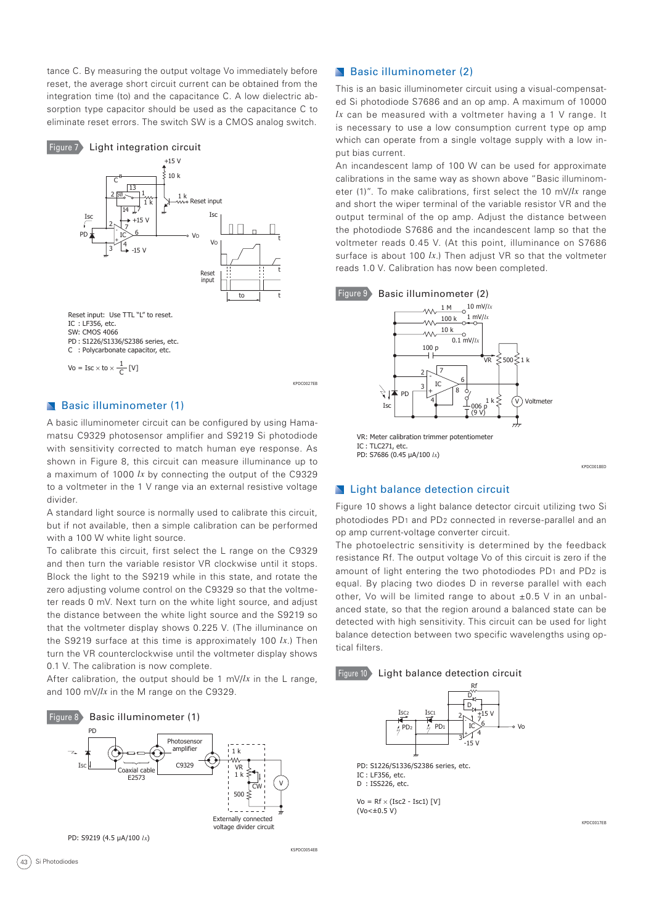tance C. By measuring the output voltage Vo immediately before reset, the average short circuit current can be obtained from the integration time (to) and the capacitance C. A low dielectric absorption type capacitor should be used as the capacitance C to eliminate reset errors. The switch SW is a CMOS analog switch.



Vo = Isc  $\times$  to  $\times \frac{1}{C}$  [V]

KPDC0027EB

KSPDC0054EB

# Basic illuminometer (1)

A basic illuminometer circuit can be configured by using Hamamatsu C9329 photosensor amplifier and S9219 Si photodiode with sensitivity corrected to match human eye response. As shown in Figure 8, this circuit can measure illuminance up to a maximum of 1000 *lx* by connecting the output of the C9329 to a voltmeter in the 1 V range via an external resistive voltage divider.

A standard light source is normally used to calibrate this circuit, but if not available, then a simple calibration can be performed with a 100 W white light source.

To calibrate this circuit, first select the L range on the C9329 and then turn the variable resistor VR clockwise until it stops. Block the light to the S9219 while in this state, and rotate the zero adjusting volume control on the C9329 so that the voltmeter reads 0 mV. Next turn on the white light source, and adjust the distance between the white light source and the S9219 so that the voltmeter display shows 0.225 V. (The illuminance on the S9219 surface at this time is approximately 100 *lx*.) Then turn the VR counterclockwise until the voltmeter display shows 0.1 V. The calibration is now complete.

After calibration, the output should be 1 mV/*lx* in the L range, and 100 mV/*lx* in the M range on the C9329.



# Basic illuminometer (2)

This is an basic illuminometer circuit using a visual-compensated Si photodiode S7686 and an op amp. A maximum of 10000 *lx* can be measured with a voltmeter having a 1 V range. It is necessary to use a low consumption current type op amp which can operate from a single voltage supply with a low input bias current.

An incandescent lamp of 100 W can be used for approximate calibrations in the same way as shown above "Basic illuminometer (1)". To make calibrations, first select the 10 mV/*lx* range and short the wiper terminal of the variable resistor VR and the output terminal of the op amp. Adjust the distance between the photodiode S7686 and the incandescent lamp so that the voltmeter reads 0.45 V. (At this point, illuminance on S7686 surface is about 100 *lx*.) Then adjust VR so that the voltmeter reads 1.0 V. Calibration has now been completed.



PD: S7686 (0.45 μA/100 *lx*)

#### KPDC0018ED

#### **N** Light balance detection circuit

Figure 10 shows a light balance detector circuit utilizing two Si photodiodes PD1 and PD2 connected in reverse-parallel and an op amp current-voltage converter circuit.

The photoelectric sensitivity is determined by the feedback resistance Rf. The output voltage Vo of this circuit is zero if the amount of light entering the two photodiodes PD1 and PD2 is equal. By placing two diodes D in reverse parallel with each other, Vo will be limited range to about  $\pm 0.5$  V in an unbalanced state, so that the region around a balanced state can be detected with high sensitivity. This circuit can be used for light balance detection between two specific wavelengths using optical filters.





PD: S1226/S1336/S2386 series, etc. IC : LF356, etc. D : ISS226, etc.

 $V_0 = Rf \times (Isc2 - Isc1)$  [V]  $(Vo < \pm 0.5 V)$ 

KPDC0017EB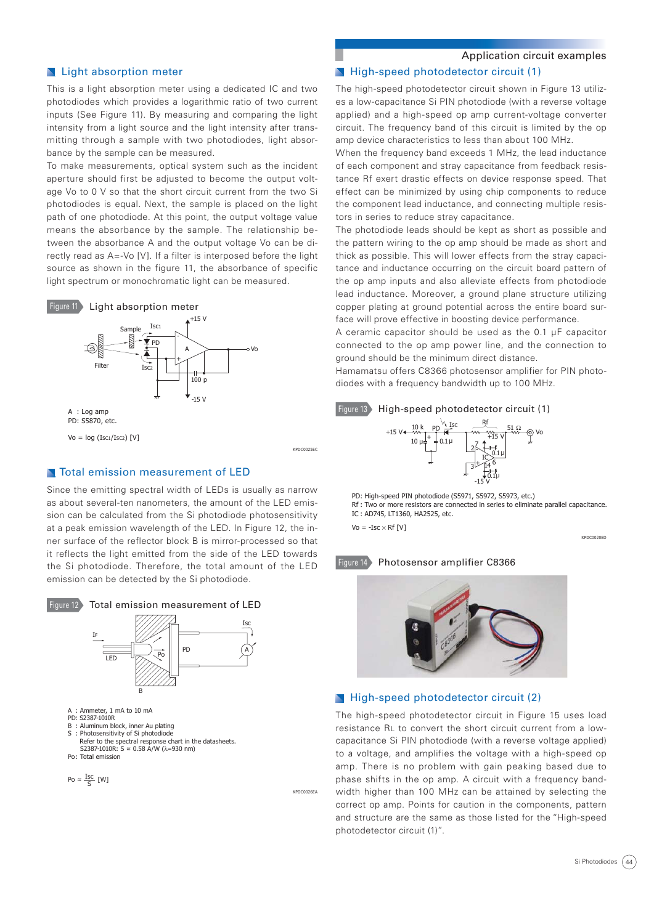# **N** Light absorption meter

This is a light absorption meter using a dedicated IC and two photodiodes which provides a logarithmic ratio of two current inputs (See Figure 11). By measuring and comparing the light intensity from a light source and the light intensity after transmitting through a sample with two photodiodes, light absorbance by the sample can be measured.

To make measurements, optical system such as the incident aperture should first be adjusted to become the output voltage Vo to 0 V so that the short circuit current from the two Si photodiodes is equal. Next, the sample is placed on the light path of one photodiode. At this point, the output voltage value means the absorbance by the sample. The relationship between the absorbance A and the output voltage Vo can be directly read as A=-Vo [V]. If a filter is interposed before the light source as shown in the figure 11, the absorbance of specific light spectrum or monochromatic light can be measured.



#### **N** Total emission measurement of LED

Since the emitting spectral width of LEDs is usually as narrow as about several-ten nanometers, the amount of the LED emission can be calculated from the Si photodiode photosensitivity at a peak emission wavelength of the LED. In Figure 12, the inner surface of the reflector block B is mirror-processed so that it reflects the light emitted from the side of the LED towards the Si photodiode. Therefore, the total amount of the LED emission can be detected by the Si photodiode.



$$
\mathsf{Po} \approx \frac{\mathsf{Isc}}{\mathsf{S}} \; [\mathsf{W}]
$$

Application circuit examples

#### High-speed photodetector circuit (1)

The high-speed photodetector circuit shown in Figure 13 utilizes a low-capacitance Si PIN photodiode (with a reverse voltage applied) and a high-speed op amp current-voltage converter circuit. The frequency band of this circuit is limited by the op amp device characteristics to less than about 100 MHz.

When the frequency band exceeds 1 MHz, the lead inductance of each component and stray capacitance from feedback resistance Rf exert drastic effects on device response speed. That effect can be minimized by using chip components to reduce the component lead inductance, and connecting multiple resistors in series to reduce stray capacitance.

The photodiode leads should be kept as short as possible and the pattern wiring to the op amp should be made as short and thick as possible. This will lower effects from the stray capacitance and inductance occurring on the circuit board pattern of the op amp inputs and also alleviate effects from photodiode lead inductance. Moreover, a ground plane structure utilizing copper plating at ground potential across the entire board surface will prove effective in boosting device performance.

A ceramic capacitor should be used as the 0.1 μF capacitor connected to the op amp power line, and the connection to ground should be the minimum direct distance.

Hamamatsu offers C8366 photosensor amplifier for PIN photodiodes with a frequency bandwidth up to 100 MHz.





PD: High-speed PIN photodiode (S5971, S5972, S5973, etc.) Rf : Two or more resistors are connected in series to eliminate parallel capacitance. IC : AD745, LT1360, HA2525, etc.

 $Vo = -Isc \times Rf[V]$ 

KPDC0026EA

KPDC0020ED

#### Figure 14 Photosensor amplifier C8366



#### **High-speed photodetector circuit (2)**

The high-speed photodetector circuit in Figure 15 uses load resistance RL to convert the short circuit current from a lowcapacitance Si PIN photodiode (with a reverse voltage applied) to a voltage, and amplifies the voltage with a high-speed op amp. There is no problem with gain peaking based due to phase shifts in the op amp. A circuit with a frequency bandwidth higher than 100 MHz can be attained by selecting the correct op amp. Points for caution in the components, pattern and structure are the same as those listed for the "High-speed photodetector circuit (1)".

Si Photodiodes (44